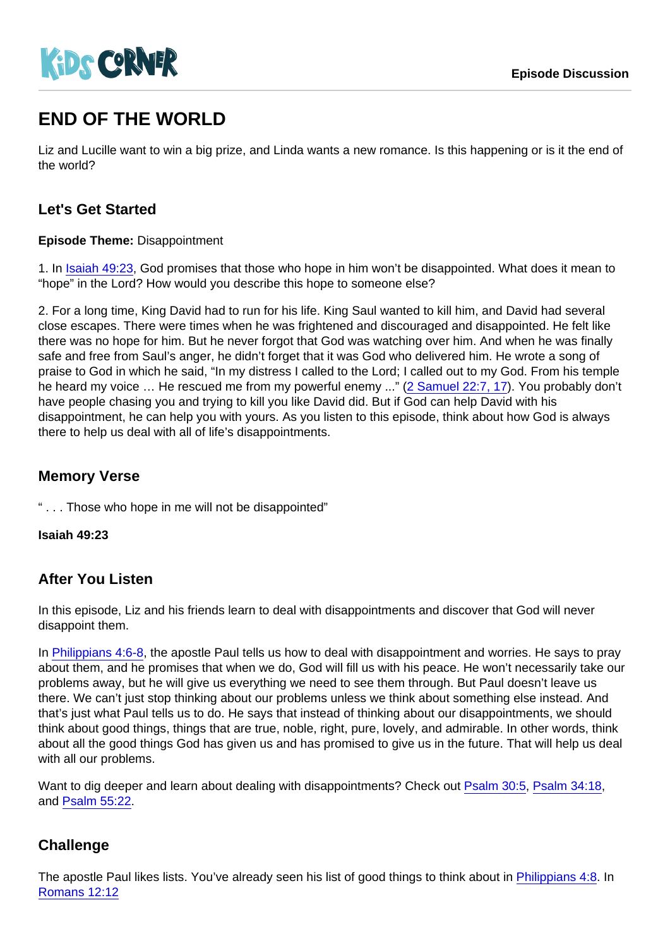# END OF THE WORLD

Liz and Lucille want to win a big prize, and Linda wants a new romance. Is this happening or is it the end of the world?

## Let's Get Started

Episode Theme: Disappointment

1. In [Isaiah 49:23](https://www.biblegateway.com/passage/?search=Isaiah+49:23), God promises that those who hope in him won't be disappointed. What does it mean to "hope" in the Lord? How would you describe this hope to someone else?

2. For a long time, King David had to run for his life. King Saul wanted to kill him, and David had several close escapes. There were times when he was frightened and discouraged and disappointed. He felt like there was no hope for him. But he never forgot that God was watching over him. And when he was finally safe and free from Saul's anger, he didn't forget that it was God who delivered him. He wrote a song of praise to God in which he said, "In my distress I called to the Lord; I called out to my God. From his temple he heard my voice ... He rescued me from my powerful enemy ..." ([2 Samuel 22:7, 17\)](https://www.biblegateway.com/passage/?search=2+Samuel+22:7+17). You probably don't have people chasing you and trying to kill you like David did. But if God can help David with his disappointment, he can help you with yours. As you listen to this episode, think about how God is always there to help us deal with all of life's disappointments.

#### Memory Verse

" . . . Those who hope in me will not be disappointed"

Isaiah 49:23

#### After You Listen

In this episode, Liz and his friends learn to deal with disappointments and discover that God will never disappoint them.

In [Philippians 4:6-8,](https://www.biblegateway.com/passage/?search=Philippians+4:6-8) the apostle Paul tells us how to deal with disappointment and worries. He says to pray about them, and he promises that when we do, God will fill us with his peace. He won't necessarily take our problems away, but he will give us everything we need to see them through. But Paul doesn't leave us there. We can't just stop thinking about our problems unless we think about something else instead. And that's just what Paul tells us to do. He says that instead of thinking about our disappointments, we should think about good things, things that are true, noble, right, pure, lovely, and admirable. In other words, think about all the good things God has given us and has promised to give us in the future. That will help us deal with all our problems.

Want to dig deeper and learn about dealing with disappointments? Check out [Psalm 30:5,](https://www.biblegateway.com/passage/?search=Psalm+30:5) [Psalm 34:18,](https://www.biblegateway.com/passage/?search=Psalm+34:18) and [Psalm 55:22.](https://www.biblegateway.com/passage/?search=Psalm+55:22)

## **Challenge**

The apostle Paul likes lists. You've already seen his list of good things to think about in [Philippians 4:8](https://www.biblegateway.com/passage/?search=Philippians+4:8). In [Romans 12:12](https://www.biblegateway.com/passage/?search=Romans+12:12)